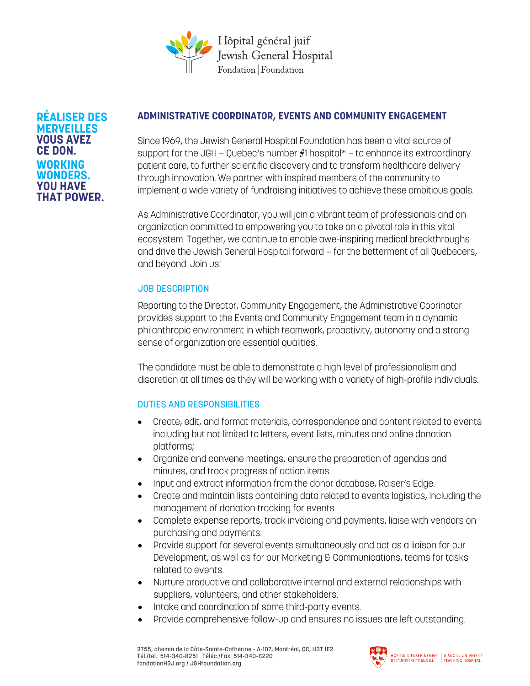

**RÉALISER DES MERVEILLES VOUS AVEZ CE DON. WORKING WONDERS. YOU HAVE THAT POWER.**

## **ADMINISTRATIVE COORDINATOR, EVENTS AND COMMUNITY ENGAGEMENT**

Since 1969, the Jewish General Hospital Foundation has been a vital source of support for the JGH — Quebec's number #1 hospital\* — to enhance its extraordinary patient care, to further scientific discovery and to transform healthcare delivery through innovation. We partner with inspired members of the community to implement a wide variety of fundraising initiatives to achieve these ambitious goals.

As Administrative Coordinator, you will join a vibrant team of professionals and an organization committed to empowering you to take on a pivotal role in this vital ecosystem. Together, we continue to enable awe-inspiring medical breakthroughs and drive the Jewish General Hospital forward — for the betterment of all Quebecers, and beyond. Join us!

## JOB DESCRIPTION

Reporting to the Director, Community Engagement, the Administrative Coorinator provides support to the Events and Community Engagement team in a dynamic philanthropic environment in which teamwork, proactivity, autonomy and a strong sense of organization are essential qualities.

The candidate must be able to demonstrate a high level of professionalism and discretion at all times as they will be working with a variety of high-profile individuals.

# DUTIES AND RESPONSIBILITIES

- Create, edit, and format materials, correspondence and content related to events including but not limited to letters, event lists, minutes and online donation platforms;
- Organize and convene meetings, ensure the preparation of agendas and minutes, and track progress of action items.
- Input and extract information from the donor database, Raiser's Edge.
- Create and maintain lists containing data related to events logistics, including the management of donation tracking for events.
- Complete expense reports, track invoicing and payments, liaise with vendors on purchasing and payments.
- Provide support for several events simultaneously and act as a liaison for our Development, as well as for our Marketing & Communications, teams for tasks related to events.
- Nurture productive and collaborative internal and external relationships with suppliers, volunteers, and other stakeholders.
- Intake and coordination of some third-party events.
- Provide comprehensive follow-up and ensures no issues are left outstanding.